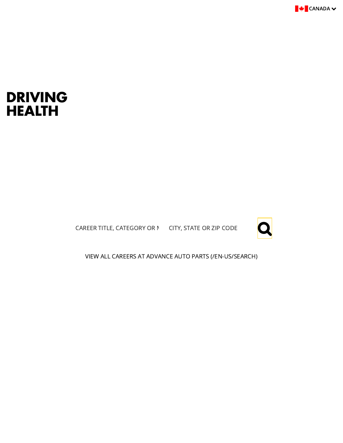

### DRIVING HEALTH

CAREER TITLE, CATEGORY OR  $\, \mathsf{N} \,$  CITY, STATE OR ZIP CODE  $\, \bigotimes \,$ 



[VIEW ALL CAREERS AT ADVANCE AUTO PARTS \(/EN-US/SEARCH\)](https://www.advanceautoparts.jobs/en-US/search)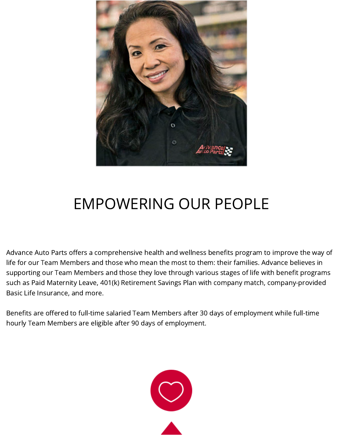

## EMPOWERING OUR PEOPLE

Advance Auto Parts offers a comprehensive health and wellness benefits program to improve the way of life for our Team Members and those who mean the most to them: their families. Advance believes in supporting our Team Members and those they love through various stages of life with benefit programs such as Paid Maternity Leave, 401(k) Retirement Savings Plan with company match, company-provided Basic Life Insurance, and more.

Benefits are offered to full-time salaried Team Members after 30 days of employment while full-time hourly Team Members are eligible after 90 days of employment.

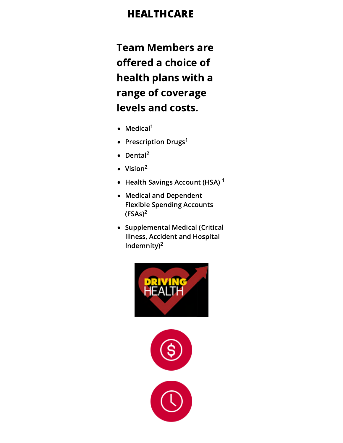### HEALTHCARE

Team Members are offered a choice of health plans with a range of coverage levels and costs.

- Medical<sup>1</sup>
- Prescription Drugs<sup>1</sup>
- Dental<sup>2</sup>
- Vision 2
- Health Savings Account (HSA) <sup>1</sup>
- Medical and Dependent Flexible Spending Accounts  $(FSAs)^2$
- Supplemental Medical (Critical Illness, Accident and Hospital Indemnity)<sup>2</sup>



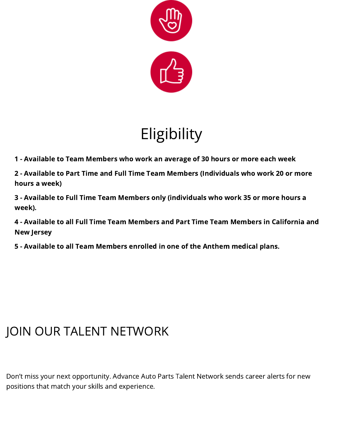

# **Eligibility**

1 - Available to Team Members who work an average of 30 hours or more each week

2 - Available to Part Time and Full Time Team Members (Individuals who work 20 or more hours a week)

3 - Available to Full Time Team Members only (individuals who work 35 or more hours a week).

4 - Available to all Full Time Team Members and Part Time Team Members in California and New Jersey

5 - Available to all Team Members enrolled in one of the Anthem medical plans.

## JOIN OUR TALENT NETWORK

Don't miss your next opportunity. Advance Auto Parts Talent Network sends career alerts for new positions that match your skills and experience.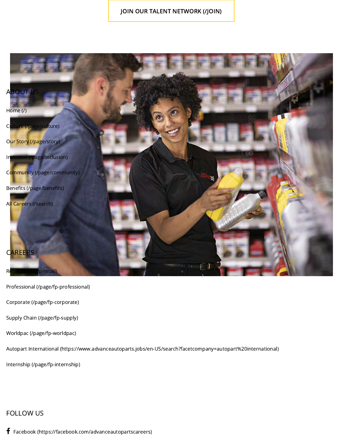#### [JOIN OUR TALENT NETWORK \(/JOIN\)](https://www.advanceautoparts.jobs/join)



[Professional \(/page/fp-professional\)](https://www.advanceautoparts.jobs/page/fp-professional)

[Corporate \(/page/fp-corporate\)](https://www.advanceautoparts.jobs/page/fp-corporate)

[Supply Chain \(/page/fp-supply\)](https://www.advanceautoparts.jobs/page/fp-supply)

[Worldpac \(/page/fp-worldpac\)](https://www.advanceautoparts.jobs/page/fp-worldpac)

[Autopart International \(https://www.advanceautoparts.jobs/en-US/search?facetcompany=autopart%20international\)](https://www.advanceautoparts.jobs/en-US/search?facetcompany=autopart%20international)

[Internship \(/page/fp-internship\)](https://www.advanceautoparts.jobs/page/fp-internship)

### FOLLOW US